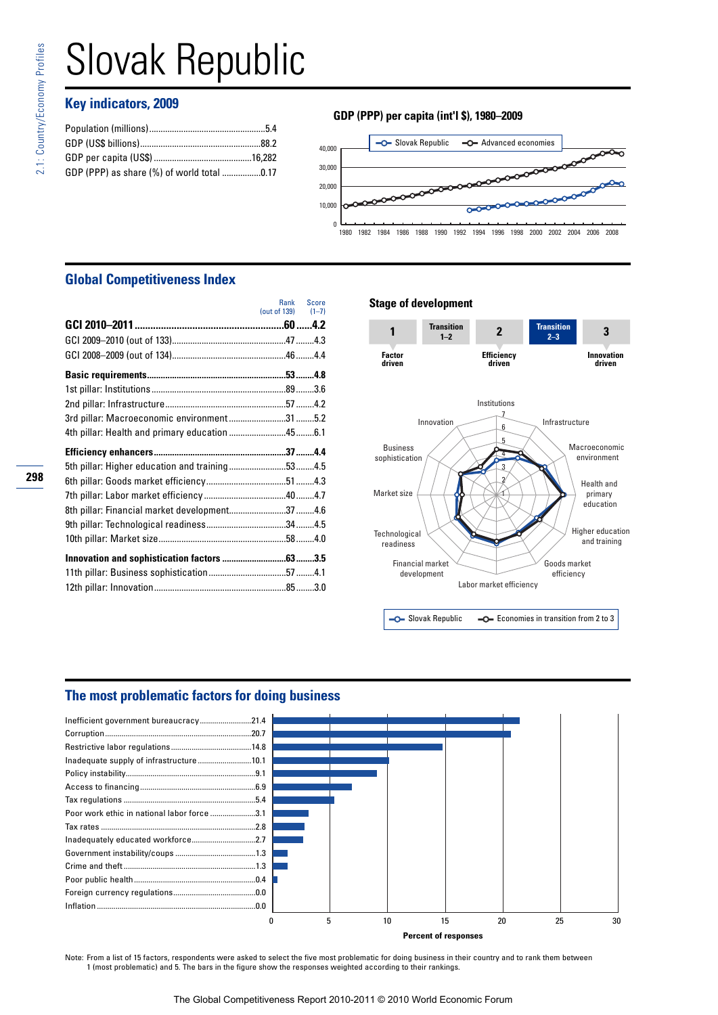# Slovak Republic

# **Key indicators, 2009**

| GDP (PPP) as share (%) of world total 0.17 |  |
|--------------------------------------------|--|
|                                            |  |

# **GDP (PPP) per capita (int'l \$), 1980–2009**



# **Global Competitiveness Index**

|                                                | <b>Rank</b><br>(out of 139) $(1-7)$ | Score |
|------------------------------------------------|-------------------------------------|-------|
|                                                |                                     |       |
|                                                |                                     |       |
|                                                |                                     |       |
|                                                |                                     |       |
|                                                |                                     |       |
|                                                |                                     |       |
| 3rd pillar: Macroeconomic environment 31 5.2   |                                     |       |
|                                                |                                     |       |
|                                                |                                     |       |
|                                                |                                     |       |
|                                                |                                     |       |
| 5th pillar: Higher education and training534.5 |                                     |       |
|                                                |                                     |       |
| 8th pillar: Financial market development374.6  |                                     |       |
|                                                |                                     |       |
|                                                |                                     |       |
|                                                |                                     |       |
|                                                |                                     |       |

## **Stage of development**



C Slovak Republic  $\overline{\phantom{C}}$  Economies in transition from 2 to 3

# **The most problematic factors for doing business**



**Percent of responses**

Note: From a list of 15 factors, respondents were asked to select the five most problematic for doing business in their country and to rank them between 1 (most problematic) and 5. The bars in the figure show the responses weighted according to their rankings.